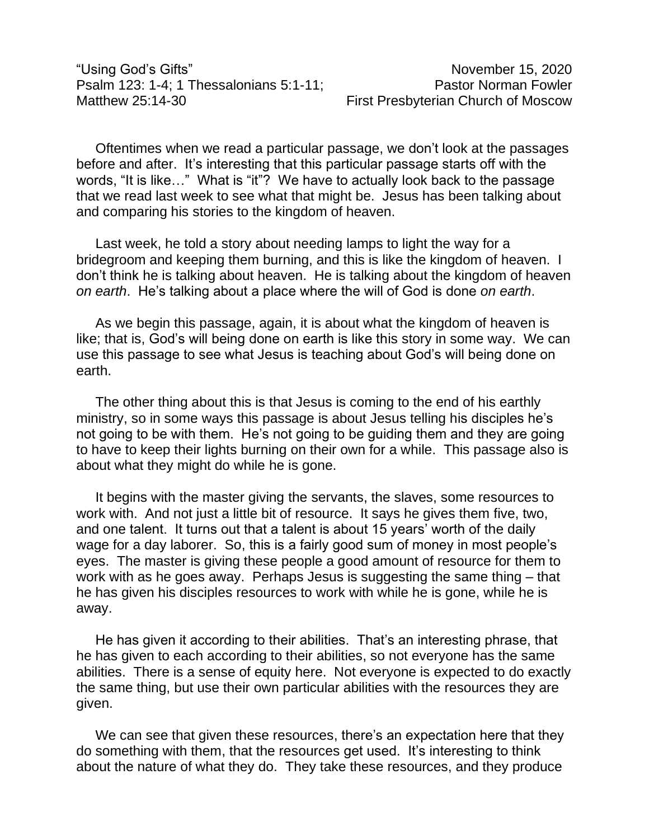Oftentimes when we read a particular passage, we don't look at the passages before and after. It's interesting that this particular passage starts off with the words, "It is like…" What is "it"? We have to actually look back to the passage that we read last week to see what that might be. Jesus has been talking about and comparing his stories to the kingdom of heaven.

Last week, he told a story about needing lamps to light the way for a bridegroom and keeping them burning, and this is like the kingdom of heaven. I don't think he is talking about heaven. He is talking about the kingdom of heaven *on earth*. He's talking about a place where the will of God is done *on earth*.

As we begin this passage, again, it is about what the kingdom of heaven is like; that is, God's will being done on earth is like this story in some way. We can use this passage to see what Jesus is teaching about God's will being done on earth.

The other thing about this is that Jesus is coming to the end of his earthly ministry, so in some ways this passage is about Jesus telling his disciples he's not going to be with them. He's not going to be guiding them and they are going to have to keep their lights burning on their own for a while. This passage also is about what they might do while he is gone.

It begins with the master giving the servants, the slaves, some resources to work with. And not just a little bit of resource. It says he gives them five, two, and one talent. It turns out that a talent is about 15 years' worth of the daily wage for a day laborer. So, this is a fairly good sum of money in most people's eyes. The master is giving these people a good amount of resource for them to work with as he goes away. Perhaps Jesus is suggesting the same thing – that he has given his disciples resources to work with while he is gone, while he is away.

He has given it according to their abilities. That's an interesting phrase, that he has given to each according to their abilities, so not everyone has the same abilities. There is a sense of equity here. Not everyone is expected to do exactly the same thing, but use their own particular abilities with the resources they are given.

We can see that given these resources, there's an expectation here that they do something with them, that the resources get used. It's interesting to think about the nature of what they do. They take these resources, and they produce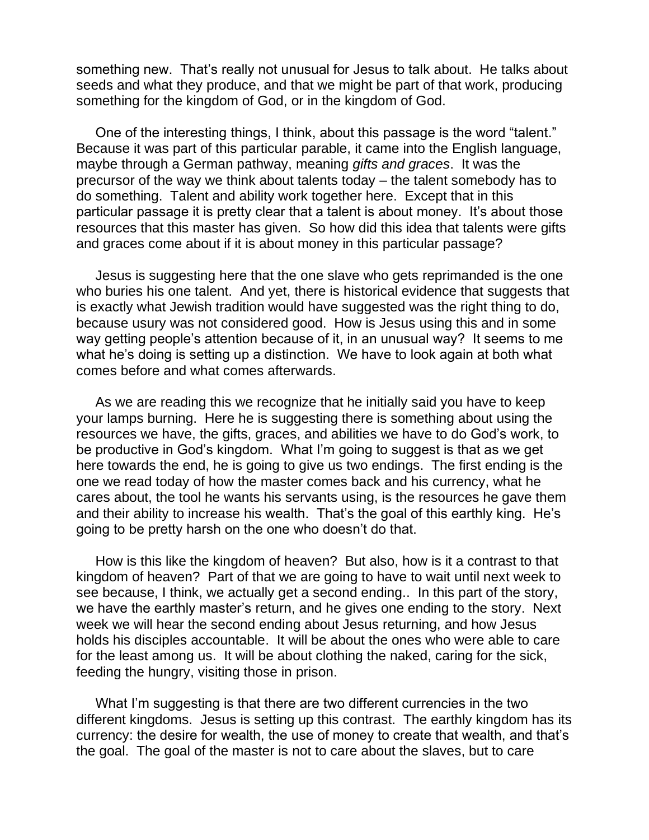something new. That's really not unusual for Jesus to talk about. He talks about seeds and what they produce, and that we might be part of that work, producing something for the kingdom of God, or in the kingdom of God.

One of the interesting things, I think, about this passage is the word "talent." Because it was part of this particular parable, it came into the English language, maybe through a German pathway, meaning *gifts and graces*. It was the precursor of the way we think about talents today – the talent somebody has to do something. Talent and ability work together here. Except that in this particular passage it is pretty clear that a talent is about money. It's about those resources that this master has given. So how did this idea that talents were gifts and graces come about if it is about money in this particular passage?

Jesus is suggesting here that the one slave who gets reprimanded is the one who buries his one talent. And yet, there is historical evidence that suggests that is exactly what Jewish tradition would have suggested was the right thing to do, because usury was not considered good. How is Jesus using this and in some way getting people's attention because of it, in an unusual way? It seems to me what he's doing is setting up a distinction. We have to look again at both what comes before and what comes afterwards.

As we are reading this we recognize that he initially said you have to keep your lamps burning. Here he is suggesting there is something about using the resources we have, the gifts, graces, and abilities we have to do God's work, to be productive in God's kingdom. What I'm going to suggest is that as we get here towards the end, he is going to give us two endings. The first ending is the one we read today of how the master comes back and his currency, what he cares about, the tool he wants his servants using, is the resources he gave them and their ability to increase his wealth. That's the goal of this earthly king. He's going to be pretty harsh on the one who doesn't do that.

How is this like the kingdom of heaven? But also, how is it a contrast to that kingdom of heaven? Part of that we are going to have to wait until next week to see because, I think, we actually get a second ending.. In this part of the story, we have the earthly master's return, and he gives one ending to the story. Next week we will hear the second ending about Jesus returning, and how Jesus holds his disciples accountable. It will be about the ones who were able to care for the least among us. It will be about clothing the naked, caring for the sick, feeding the hungry, visiting those in prison.

What I'm suggesting is that there are two different currencies in the two different kingdoms. Jesus is setting up this contrast. The earthly kingdom has its currency: the desire for wealth, the use of money to create that wealth, and that's the goal. The goal of the master is not to care about the slaves, but to care